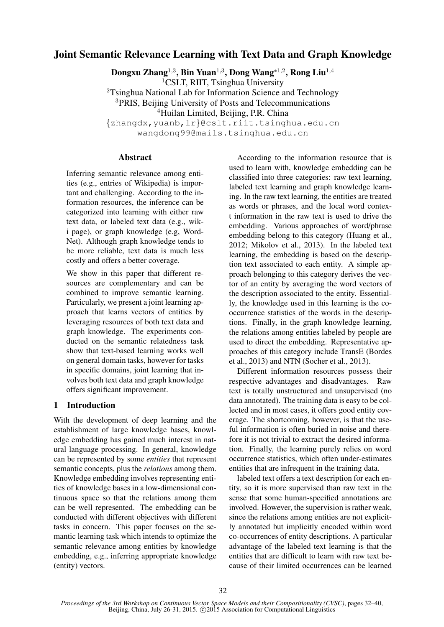# Joint Semantic Relevance Learning with Text Data and Graph Knowledge

Dongxu Zhang $^{1,3}$ , Bin Yuan $^{1,3}$ , Dong Wang $^{*1,2}$ , Rong Liu $^{1,4}$ <sup>1</sup>CSLT, RIIT, Tsinghua University

<sup>2</sup>Tsinghua National Lab for Information Science and Technology <sup>3</sup>PRIS, Beijing University of Posts and Telecommunications <sup>4</sup>Huilan Limited, Beijing, P.R. China {zhangdx,yuanb,lr}@cslt.riit.tsinghua.edu.cn

wangdong99@mails.tsinghua.edu.cn

## **Abstract**

Inferring semantic relevance among entities (e.g., entries of Wikipedia) is important and challenging. According to the information resources, the inference can be categorized into learning with either raw text data, or labeled text data (e.g., wiki page), or graph knowledge (e.g, Word-Net). Although graph knowledge tends to be more reliable, text data is much less costly and offers a better coverage.

We show in this paper that different resources are complementary and can be combined to improve semantic learning. Particularly, we present a joint learning approach that learns vectors of entities by leveraging resources of both text data and graph knowledge. The experiments conducted on the semantic relatedness task show that text-based learning works well on general domain tasks, however for tasks in specific domains, joint learning that involves both text data and graph knowledge offers significant improvement.

## 1 Introduction

With the development of deep learning and the establishment of large knowledge bases, knowledge embedding has gained much interest in natural language processing. In general, knowledge can be represented by some *entities* that represent semantic concepts, plus the *relations* among them. Knowledge embedding involves representing entities of knowledge bases in a low-dimensional continuous space so that the relations among them can be well represented. The embedding can be conducted with different objectives with different tasks in concern. This paper focuses on the semantic learning task which intends to optimize the semantic relevance among entities by knowledge embedding, e.g., inferring appropriate knowledge (entity) vectors.

According to the information resource that is used to learn with, knowledge embedding can be classified into three categories: raw text learning, labeled text learning and graph knowledge learning. In the raw text learning, the entities are treated as words or phrases, and the local word context information in the raw text is used to drive the embedding. Various approaches of word/phrase embedding belong to this category (Huang et al., 2012; Mikolov et al., 2013). In the labeled text learning, the embedding is based on the description text associated to each entity. A simple approach belonging to this category derives the vector of an entity by averaging the word vectors of the description associated to the entity. Essentially, the knowledge used in this learning is the cooccurrence statistics of the words in the descriptions. Finally, in the graph knowledge learning, the relations among entities labeled by people are used to direct the embedding. Representative approaches of this category include TransE (Bordes et al., 2013) and NTN (Socher et al., 2013).

Different information resources possess their respective advantages and disadvantages. Raw text is totally unstructured and unsupervised (no data annotated). The training data is easy to be collected and in most cases, it offers good entity coverage. The shortcoming, however, is that the useful information is often buried in noise and therefore it is not trivial to extract the desired information. Finally, the learning purely relies on word occurrence statistics, which often under-estimates entities that are infrequent in the training data.

labeled text offers a text description for each entity, so it is more supervised than raw text in the sense that some human-specified annotations are involved. However, the supervision is rather weak, since the relations among entities are not explicitly annotated but implicitly encoded within word co-occurrences of entity descriptions. A particular advantage of the labeled text learning is that the entities that are difficult to learn with raw text because of their limited occurrences can be learned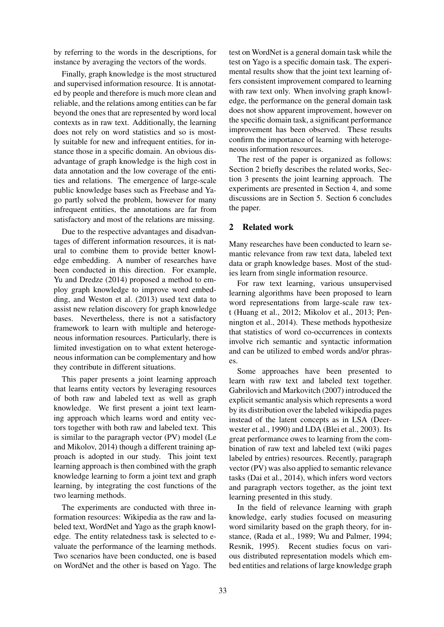by referring to the words in the descriptions, for instance by averaging the vectors of the words.

Finally, graph knowledge is the most structured and supervised information resource. It is annotated by people and therefore is much more clean and reliable, and the relations among entities can be far beyond the ones that are represented by word local contexts as in raw text. Additionally, the learning does not rely on word statistics and so is mostly suitable for new and infrequent entities, for instance those in a specific domain. An obvious disadvantage of graph knowledge is the high cost in data annotation and the low coverage of the entities and relations. The emergence of large-scale public knowledge bases such as Freebase and Yago partly solved the problem, however for many infrequent entities, the annotations are far from satisfactory and most of the relations are missing.

Due to the respective advantages and disadvantages of different information resources, it is natural to combine them to provide better knowledge embedding. A number of researches have been conducted in this direction. For example, Yu and Dredze (2014) proposed a method to employ graph knowledge to improve word embedding, and Weston et al. (2013) used text data to assist new relation discovery for graph knowledge bases. Nevertheless, there is not a satisfactory framework to learn with multiple and heterogeneous information resources. Particularly, there is limited investigation on to what extent heterogeneous information can be complementary and how they contribute in different situations.

This paper presents a joint learning approach that learns entity vectors by leveraging resources of both raw and labeled text as well as graph knowledge. We first present a joint text learning approach which learns word and entity vectors together with both raw and labeled text. This is similar to the paragraph vector (PV) model (Le and Mikolov, 2014) though a different training approach is adopted in our study. This joint text learning approach is then combined with the graph knowledge learning to form a joint text and graph learning, by integrating the cost functions of the two learning methods.

The experiments are conducted with three information resources: Wikipedia as the raw and labeled text, WordNet and Yago as the graph knowledge. The entity relatedness task is selected to evaluate the performance of the learning methods. Two scenarios have been conducted, one is based on WordNet and the other is based on Yago. The

test on WordNet is a general domain task while the test on Yago is a specific domain task. The experimental results show that the joint text learning offers consistent improvement compared to learning with raw text only. When involving graph knowledge, the performance on the general domain task does not show apparent improvement, however on the specific domain task, a significant performance improvement has been observed. These results confirm the importance of learning with heterogeneous information resources.

The rest of the paper is organized as follows: Section 2 briefly describes the related works, Section 3 presents the joint learning approach. The experiments are presented in Section 4, and some discussions are in Section 5. Section 6 concludes the paper.

## 2 Related work

Many researches have been conducted to learn semantic relevance from raw text data, labeled text data or graph knowledge bases. Most of the studies learn from single information resource.

For raw text learning, various unsupervised learning algorithms have been proposed to learn word representations from large-scale raw text (Huang et al., 2012; Mikolov et al., 2013; Pennington et al., 2014). These methods hypothesize that statistics of word co-occurrences in contexts involve rich semantic and syntactic information and can be utilized to embed words and/or phrases.

Some approaches have been presented to learn with raw text and labeled text together. Gabrilovich and Markovitch (2007) introduced the explicit semantic analysis which represents a word by its distribution over the labeled wikipedia pages instead of the latent concepts as in LSA (Deerwester et al., 1990) and LDA (Blei et al., 2003). Its great performance owes to learning from the combination of raw text and labeled text (wiki pages labeled by entries) resources. Recently, paragraph vector (PV) was also applied to semantic relevance tasks (Dai et al., 2014), which infers word vectors and paragraph vectors together, as the joint text learning presented in this study.

In the field of relevance learning with graph knowledge, early studies focused on measuring word similarity based on the graph theory, for instance, (Rada et al., 1989; Wu and Palmer, 1994; Resnik, 1995). Recent studies focus on various distributed representation models which embed entities and relations of large knowledge graph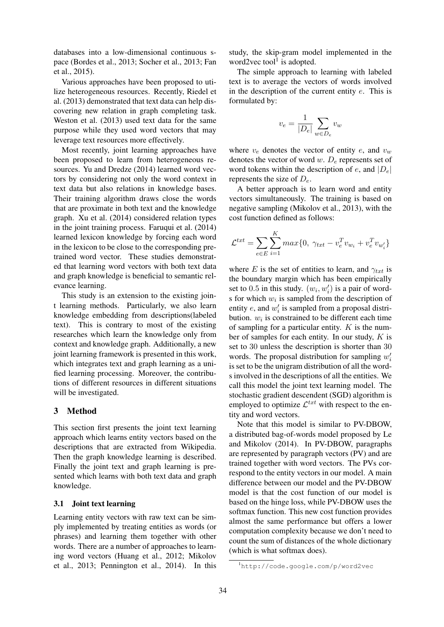databases into a low-dimensional continuous space (Bordes et al., 2013; Socher et al., 2013; Fan et al., 2015).

Various approaches have been proposed to utilize heterogeneous resources. Recently, Riedel et al. (2013) demonstrated that text data can help discovering new relation in graph completing task. Weston et al. (2013) used text data for the same purpose while they used word vectors that may leverage text resources more effectively.

Most recently, joint learning approaches have been proposed to learn from heterogeneous resources. Yu and Dredze (2014) learned word vectors by considering not only the word context in text data but also relations in knowledge bases. Their training algorithm draws close the words that are proximate in both text and the knowledge graph. Xu et al. (2014) considered relation types in the joint training process. Faruqui et al. (2014) learned lexicon knowledge by forcing each word in the lexicon to be close to the corresponding pretrained word vector. These studies demonstrated that learning word vectors with both text data and graph knowledge is beneficial to semantic relevance learning.

This study is an extension to the existing joint learning methods. Particularly, we also learn knowledge embedding from descriptions(labeled text). This is contrary to most of the existing researches which learn the knowledge only from context and knowledge graph. Additionally, a new joint learning framework is presented in this work, which integrates text and graph learning as a unified learning processing. Moreover, the contributions of different resources in different situations will be investigated.

## 3 Method

This section first presents the joint text learning approach which learns entity vectors based on the descriptions that are extracted from Wikipedia. Then the graph knowledge learning is described. Finally the joint text and graph learning is presented which learns with both text data and graph knowledge.

## 3.1 Joint text learning

Learning entity vectors with raw text can be simply implemented by treating entities as words (or phrases) and learning them together with other words. There are a number of approaches to learning word vectors (Huang et al., 2012; Mikolov et al., 2013; Pennington et al., 2014). In this study, the skip-gram model implemented in the word2vec tool<sup>1</sup> is adopted.

The simple approach to learning with labeled text is to average the vectors of words involved in the description of the current entity  $e$ . This is formulated by:

$$
v_e = \frac{1}{|D_e|} \sum_{w \in D_e} v_w
$$

where  $v_e$  denotes the vector of entity e, and  $v_w$ denotes the vector of word w.  $D_e$  represents set of word tokens within the description of  $e$ , and  $|D_e|$ represents the size of  $D_e$ .

A better approach is to learn word and entity vectors simultaneously. The training is based on negative sampling (Mikolov et al., 2013), with the cost function defined as follows:

$$
\mathcal{L}^{txt} = \sum_{e \in E} \sum_{i=1}^{K} max\{0, \ \gamma_{txt} - v_e^T v_{w_i} + v_e^T v_{w'_i}\}\
$$

where E is the set of entities to learn, and  $\gamma_{txt}$  is the boundary margin which has been empirically set to 0.5 in this study.  $(w_i, w'_i)$  is a pair of words for which  $w_i$  is sampled from the description of entity  $e$ , and  $w'_i$  is sampled from a proposal distribution.  $w_i$  is constrained to be different each time of sampling for a particular entity.  $K$  is the number of samples for each entity. In our study,  $K$  is set to 30 unless the description is shorter than 30 words. The proposal distribution for sampling  $w_i'$ is set to be the unigram distribution of all the words involved in the descriptions of all the entities. We call this model the joint text learning model. The stochastic gradient descendent (SGD) algorithm is employed to optimize  $\mathcal{L}^{txt}$  with respect to the entity and word vectors.

Note that this model is similar to PV-DBOW, a distributed bag-of-words model proposed by Le and Mikolov (2014). In PV-DBOW, paragraphs are represented by paragraph vectors (PV) and are trained together with word vectors. The PVs correspond to the entity vectors in our model. A main difference between our model and the PV-DBOW model is that the cost function of our model is based on the hinge loss, while PV-DBOW uses the softmax function. This new cost function provides almost the same performance but offers a lower computation complexity because we don't need to count the sum of distances of the whole dictionary (which is what softmax does).

<sup>1</sup>http://code.google.com/p/word2vec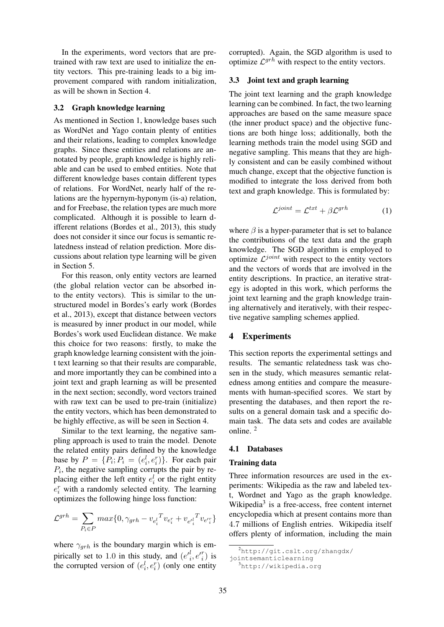In the experiments, word vectors that are pretrained with raw text are used to initialize the entity vectors. This pre-training leads to a big improvement compared with random initialization, as will be shown in Section 4.

#### 3.2 Graph knowledge learning

As mentioned in Section 1, knowledge bases such as WordNet and Yago contain plenty of entities and their relations, leading to complex knowledge graphs. Since these entities and relations are annotated by people, graph knowledge is highly reliable and can be used to embed entities. Note that different knowledge bases contain different types of relations. For WordNet, nearly half of the relations are the hypernym-hyponym (is-a) relation, and for Freebase, the relation types are much more complicated. Although it is possible to learn different relations (Bordes et al., 2013), this study does not consider it since our focus is semantic relatedness instead of relation prediction. More discussions about relation type learning will be given in Section 5.

For this reason, only entity vectors are learned (the global relation vector can be absorbed into the entity vectors). This is similar to the unstructured model in Bordes's early work (Bordes et al., 2013), except that distance between vectors is measured by inner product in our model, while Bordes's work used Euclidean distance. We make this choice for two reasons: firstly, to make the graph knowledge learning consistent with the joint text learning so that their results are comparable, and more importantly they can be combined into a joint text and graph learning as will be presented in the next section; secondly, word vectors trained with raw text can be used to pre-train (initialize) the entity vectors, which has been demonstrated to be highly effective, as will be seen in Section 4.

Similar to the text learning, the negative sampling approach is used to train the model. Denote the related entity pairs defined by the knowledge base by  $P = \{P_i; P_i = (e_i^l, e_i^r)\}\$ . For each pair  $P_i$ , the negative sampling corrupts the pair by replacing either the left entity  $e_i^l$  or the right entity  $e_i^r$  with a randomly selected entity. The learning optimizes the following hinge loss function:

$$
\mathcal{L}^{grh} = \sum_{P_i \in P} max\{0, \gamma_{grh} - v_{e_i^l}^T v_{e_i^r} + v_{e_i^l}^T v_{e_i^r}\}\
$$

where  $\gamma_{grh}$  is the boundary margin which is empirically set to 1.0 in this study, and  $(e^{l_i}, e^{l_i})$  is the corrupted version of  $(e_i^l, e_i^r)$  (only one entity corrupted). Again, the SGD algorithm is used to optimize  $\mathcal{L}^{grh}$  with respect to the entity vectors.

## 3.3 Joint text and graph learning

The joint text learning and the graph knowledge learning can be combined. In fact, the two learning approaches are based on the same measure space (the inner product space) and the objective functions are both hinge loss; additionally, both the learning methods train the model using SGD and negative sampling. This means that they are highly consistent and can be easily combined without much change, except that the objective function is modified to integrate the loss derived from both text and graph knowledge. This is formulated by:

$$
\mathcal{L}^{joint} = \mathcal{L}^{txt} + \beta \mathcal{L}^{grh} \tag{1}
$$

where  $\beta$  is a hyper-parameter that is set to balance the contributions of the text data and the graph knowledge. The SGD algorithm is employed to optimize  $\mathcal{L}^{joint}$  with respect to the entity vectors and the vectors of words that are involved in the entity descriptions. In practice, an iterative strategy is adopted in this work, which performs the joint text learning and the graph knowledge training alternatively and iteratively, with their respective negative sampling schemes applied.

#### 4 Experiments

This section reports the experimental settings and results. The semantic relatedness task was chosen in the study, which measures semantic relatedness among entities and compare the measurements with human-specified scores. We start by presenting the databases, and then report the results on a general domain task and a specific domain task. The data sets and codes are available online. <sup>2</sup>

#### 4.1 Databases

#### Training data

Three information resources are used in the experiments: Wikipedia as the raw and labeled text, Wordnet and Yago as the graph knowledge. Wikipedia<sup>3</sup> is a free-access, free content internet encyclopedia which at present contains more than 4.7 millions of English entries. Wikipedia itself offers plenty of information, including the main

 $^{2}$ http://qit.cslt.org/zhangdx/

jointsemanticlearning

<sup>3</sup>http://wikipedia.org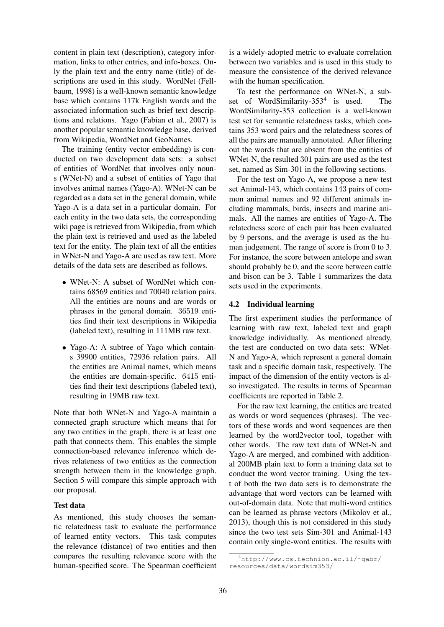content in plain text (description), category information, links to other entries, and info-boxes. Only the plain text and the entry name (title) of descriptions are used in this study. WordNet (Fellbaum, 1998) is a well-known semantic knowledge base which contains 117k English words and the associated information such as brief text descriptions and relations. Yago (Fabian et al., 2007) is another popular semantic knowledge base, derived from Wikipedia, WordNet and GeoNames.

The training (entity vector embedding) is conducted on two development data sets: a subset of entities of WordNet that involves only nouns (WNet-N) and a subset of entities of Yago that involves animal names (Yago-A). WNet-N can be regarded as a data set in the general domain, while Yago-A is a data set in a particular domain. For each entity in the two data sets, the corresponding wiki page is retrieved from Wikipedia, from which the plain text is retrieved and used as the labeled text for the entity. The plain text of all the entities in WNet-N and Yago-A are used as raw text. More details of the data sets are described as follows.

- WNet-N: A subset of WordNet which contains 68569 entities and 70040 relation pairs. All the entities are nouns and are words or phrases in the general domain. 36519 entities find their text descriptions in Wikipedia (labeled text), resulting in 111MB raw text.
- Yago-A: A subtree of Yago which contains 39900 entities, 72936 relation pairs. All the entities are Animal names, which means the entities are domain-specific. 6415 entities find their text descriptions (labeled text), resulting in 19MB raw text.

Note that both WNet-N and Yago-A maintain a connected graph structure which means that for any two entities in the graph, there is at least one path that connects them. This enables the simple connection-based relevance inference which derives relateness of two entities as the connection strength between them in the knowledge graph. Section 5 will compare this simple approach with our proposal.

## Test data

As mentioned, this study chooses the semantic relatedness task to evaluate the performance of learned entity vectors. This task computes the relevance (distance) of two entities and then compares the resulting relevance score with the human-specified score. The Spearman coefficient

is a widely-adopted metric to evaluate correlation between two variables and is used in this study to measure the consistence of the derived relevance with the human specification.

To test the performance on WNet-N, a subset of WordSimilarity-353<sup>4</sup> is used. The WordSimilarity-353 collection is a well-known test set for semantic relatedness tasks, which contains 353 word pairs and the relatedness scores of all the pairs are manually annotated. After filtering out the words that are absent from the entities of WNet-N, the resulted 301 pairs are used as the test set, named as Sim-301 in the following sections.

For the test on Yago-A, we propose a new test set Animal-143, which contains 143 pairs of common animal names and 92 different animals including mammals, birds, insects and marine animals. All the names are entities of Yago-A. The relatedness score of each pair has been evaluated by 9 persons, and the average is used as the human judgement. The range of score is from 0 to 3. For instance, the score between antelope and swan should probably be 0, and the score between cattle and bison can be 3. Table 1 summarizes the data sets used in the experiments.

#### 4.2 Individual learning

The first experiment studies the performance of learning with raw text, labeled text and graph knowledge individually. As mentioned already, the test are conducted on two data sets: WNet-N and Yago-A, which represent a general domain task and a specific domain task, respectively. The impact of the dimension of the entity vectors is also investigated. The results in terms of Spearman coefficients are reported in Table 2.

For the raw text learning, the entities are treated as words or word sequences (phrases). The vectors of these words and word sequences are then learned by the word2vector tool, together with other words. The raw text data of WNet-N and Yago-A are merged, and combined with additional 200MB plain text to form a training data set to conduct the word vector training. Using the text of both the two data sets is to demonstrate the advantage that word vectors can be learned with out-of-domain data. Note that multi-word entities can be learned as phrase vectors (Mikolov et al., 2013), though this is not considered in this study since the two test sets Sim-301 and Animal-143 contain only single-word entities. The results with

<sup>4</sup>http://www.cs.technion.ac.il/˜gabr/ resources/data/wordsim353/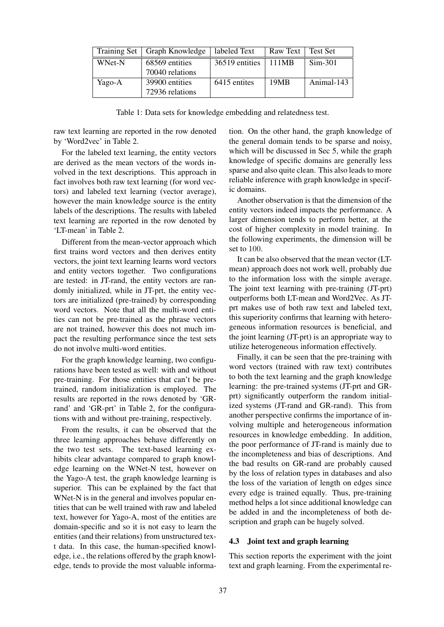|        | Training Set   Graph Knowledge | labeled Text   | Raw Text | ∣ Test Set |
|--------|--------------------------------|----------------|----------|------------|
| WNet-N | 68569 entities                 | 36519 entities | 111MB    | $Sim-301$  |
|        | 70040 relations                |                |          |            |
| Yago-A | 39900 entities                 | 6415 entites   | 19MB     | Animal-143 |
|        | 72936 relations                |                |          |            |

Table 1: Data sets for knowledge embedding and relatedness test.

raw text learning are reported in the row denoted by 'Word2vec' in Table 2.

For the labeled text learning, the entity vectors are derived as the mean vectors of the words involved in the text descriptions. This approach in fact involves both raw text learning (for word vectors) and labeled text learning (vector average), however the main knowledge source is the entity labels of the descriptions. The results with labeled text learning are reported in the row denoted by 'LT-mean' in Table 2.

Different from the mean-vector approach which first trains word vectors and then derives entity vectors, the joint text learning learns word vectors and entity vectors together. Two configurations are tested: in JT-rand, the entity vectors are randomly initialized, while in JT-prt, the entity vectors are initialized (pre-trained) by corresponding word vectors. Note that all the multi-word entities can not be pre-trained as the phrase vectors are not trained, however this does not much impact the resulting performance since the test sets do not involve multi-word entities.

For the graph knowledge learning, two configurations have been tested as well: with and without pre-training. For those entities that can't be pretrained, random initialization is employed. The results are reported in the rows denoted by 'GRrand' and 'GR-prt' in Table 2, for the configurations with and without pre-training, respectively.

From the results, it can be observed that the three learning approaches behave differently on the two test sets. The text-based learning exhibits clear advantage compared to graph knowledge learning on the WNet-N test, however on the Yago-A test, the graph knowledge learning is superior. This can be explained by the fact that WNet-N is in the general and involves popular entities that can be well trained with raw and labeled text, however for Yago-A, most of the entities are domain-specific and so it is not easy to learn the entities (and their relations) from unstructured text data. In this case, the human-specified knowledge, i.e., the relations offered by the graph knowledge, tends to provide the most valuable information. On the other hand, the graph knowledge of the general domain tends to be sparse and noisy, which will be discussed in Sec 5, while the graph knowledge of specific domains are generally less sparse and also quite clean. This also leads to more reliable inference with graph knowledge in specific domains.

Another observation is that the dimension of the entity vectors indeed impacts the performance. A larger dimension tends to perform better, at the cost of higher complexity in model training. In the following experiments, the dimension will be set to 100.

It can be also observed that the mean vector (LTmean) approach does not work well, probably due to the information loss with the simple average. The joint text learning with pre-training (JT-prt) outperforms both LT-mean and Word2Vec. As JTprt makes use of both raw text and labeled text, this superiority confirms that learning with heterogeneous information resources is beneficial, and the joint learning (JT-prt) is an appropriate way to utilize heterogeneous information effectively.

Finally, it can be seen that the pre-training with word vectors (trained with raw text) contributes to both the text learning and the graph knowledge learning: the pre-trained systems (JT-prt and GRprt) significantly outperform the random initialized systems (JT-rand and GR-rand). This from another perspective confirms the importance of involving multiple and heterogeneous information resources in knowledge embedding. In addition, the poor performance of JT-rand is mainly due to the incompleteness and bias of descriptions. And the bad results on GR-rand are probably caused by the loss of relation types in databases and also the loss of the variation of length on edges since every edge is trained equally. Thus, pre-training method helps a lot since additional knowledge can be added in and the incompleteness of both description and graph can be hugely solved.

#### 4.3 Joint text and graph learning

This section reports the experiment with the joint text and graph learning. From the experimental re-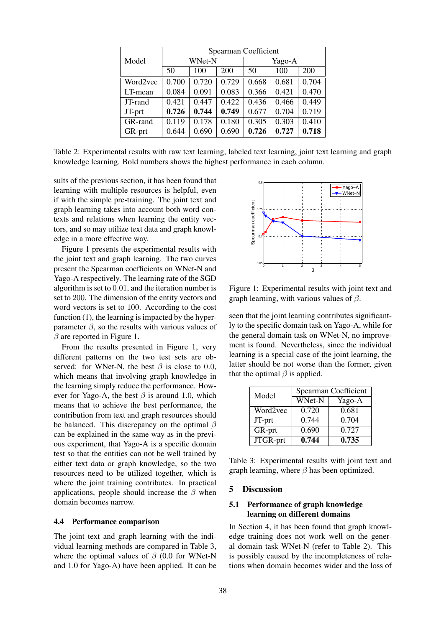|          | Spearman Coefficient |       |        |       |       |       |
|----------|----------------------|-------|--------|-------|-------|-------|
| Model    | WNet-N               |       | Yago-A |       |       |       |
|          | 50                   | 100   | 200    | 50    | 100   | 200   |
| Word2vec | 0.700                | 0.720 | 0.729  | 0.668 | 0.681 | 0.704 |
| LT-mean  | 0.084                | 0.091 | 0.083  | 0.366 | 0.421 | 0.470 |
| JT-rand  | 0.421                | 0.447 | 0.422  | 0.436 | 0.466 | 0.449 |
| JT-prt   | 0.726                | 0.744 | 0.749  | 0.677 | 0.704 | 0.719 |
| GR-rand  | 0.119                | 0.178 | 0.180  | 0.305 | 0.303 | 0.410 |
| GR-prt   | 0.644                | 0.690 | 0.690  | 0.726 | 0.727 | 0.718 |

Table 2: Experimental results with raw text learning, labeled text learning, joint text learning and graph knowledge learning. Bold numbers shows the highest performance in each column.

sults of the previous section, it has been found that learning with multiple resources is helpful, even if with the simple pre-training. The joint text and graph learning takes into account both word contexts and relations when learning the entity vectors, and so may utilize text data and graph knowledge in a more effective way.

Figure 1 presents the experimental results with the joint text and graph learning. The two curves present the Spearman coefficients on WNet-N and Yago-A respectively. The learning rate of the SGD algorithm is set to 0.01, and the iteration number is set to 200. The dimension of the entity vectors and word vectors is set to 100. According to the cost function (1), the learning is impacted by the hyperparameter  $\beta$ , so the results with various values of  $\beta$  are reported in Figure 1.

From the results presented in Figure 1, very different patterns on the two test sets are observed: for WNet-N, the best  $\beta$  is close to 0.0, which means that involving graph knowledge in the learning simply reduce the performance. However for Yago-A, the best  $\beta$  is around 1.0, which means that to achieve the best performance, the contribution from text and graph resources should be balanced. This discrepancy on the optimal  $\beta$ can be explained in the same way as in the previous experiment, that Yago-A is a specific domain test so that the entities can not be well trained by either text data or graph knowledge, so the two resources need to be utilized together, which is where the joint training contributes. In practical applications, people should increase the  $\beta$  when domain becomes narrow.

#### 4.4 Performance comparison

The joint text and graph learning with the individual learning methods are compared in Table 3, where the optimal values of  $\beta$  (0.0 for WNet-N and 1.0 for Yago-A) have been applied. It can be



Figure 1: Experimental results with joint text and graph learning, with various values of  $\beta$ .

seen that the joint learning contributes significantly to the specific domain task on Yago-A, while for the general domain task on WNet-N, no improvement is found. Nevertheless, since the individual learning is a special case of the joint learning, the latter should be not worse than the former, given that the optimal  $\beta$  is applied.

| Model    | Spearman Coefficient |        |  |
|----------|----------------------|--------|--|
|          | WNet-N               | Yago-A |  |
| Word2vec | 0.720                | 0.681  |  |
| JT-prt   | 0.744                | 0.704  |  |
| GR-prt   | 0.690                | 0.727  |  |
| JTGR-prt | 0.744                | 0.735  |  |

Table 3: Experimental results with joint text and graph learning, where  $\beta$  has been optimized.

## 5 Discussion

## 5.1 Performance of graph knowledge learning on different domains

In Section 4, it has been found that graph knowledge training does not work well on the general domain task WNet-N (refer to Table 2). This is possibly caused by the incompleteness of relations when domain becomes wider and the loss of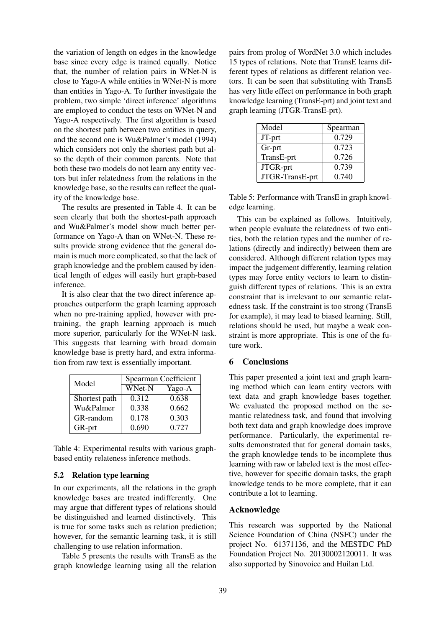the variation of length on edges in the knowledge base since every edge is trained equally. Notice that, the number of relation pairs in WNet-N is close to Yago-A while entities in WNet-N is more than entities in Yago-A. To further investigate the problem, two simple 'direct inference' algorithms are employed to conduct the tests on WNet-N and Yago-A respectively. The first algorithm is based on the shortest path between two entities in query, and the second one is Wu&Palmer's model (1994) which considers not only the shortest path but also the depth of their common parents. Note that both these two models do not learn any entity vectors but infer relatedness from the relations in the knowledge base, so the results can reflect the quality of the knowledge base.

The results are presented in Table 4. It can be seen clearly that both the shortest-path approach and Wu&Palmer's model show much better performance on Yago-A than on WNet-N. These results provide strong evidence that the general domain is much more complicated, so that the lack of graph knowledge and the problem caused by identical length of edges will easily hurt graph-based inference.

It is also clear that the two direct inference approaches outperform the graph learning approach when no pre-training applied, however with pretraining, the graph learning approach is much more superior, particularly for the WNet-N task. This suggests that learning with broad domain knowledge base is pretty hard, and extra information from raw text is essentially important.

| Model         | Spearman Coefficient |        |  |
|---------------|----------------------|--------|--|
|               | WNet-N               | Yago-A |  |
| Shortest path | 0.312                | 0.638  |  |
| Wu&Palmer     | 0.338                | 0.662  |  |
| GR-random     | 0.178                | 0.303  |  |
| GR-prt        | 0.690                | 0.727  |  |

Table 4: Experimental results with various graphbased entity relateness inference methods.

## 5.2 Relation type learning

In our experiments, all the relations in the graph knowledge bases are treated indifferently. One may argue that different types of relations should be distinguished and learned distinctively. This is true for some tasks such as relation prediction; however, for the semantic learning task, it is still challenging to use relation information.

Table 5 presents the results with TransE as the graph knowledge learning using all the relation pairs from prolog of WordNet 3.0 which includes 15 types of relations. Note that TransE learns different types of relations as different relation vectors. It can be seen that substituting with TransE has very little effect on performance in both graph knowledge learning (TransE-prt) and joint text and graph learning (JTGR-TransE-prt).

| Model           | Spearman |
|-----------------|----------|
| JT-prt          | 0.729    |
| Gr-prt          | 0.723    |
| TransE-prt      | 0.726    |
| JTGR-prt        | 0.739    |
| JTGR-TransE-prt | 0.740    |

Table 5: Performance with TransE in graph knowledge learning.

This can be explained as follows. Intuitively, when people evaluate the relatedness of two entities, both the relation types and the number of relations (directly and indirectly) between them are considered. Although different relation types may impact the judgement differently, learning relation types may force entity vectors to learn to distinguish different types of relations. This is an extra constraint that is irrelevant to our semantic relatedness task. If the constraint is too strong (TransE for example), it may lead to biased learning. Still, relations should be used, but maybe a weak constraint is more appropriate. This is one of the future work.

## 6 Conclusions

This paper presented a joint text and graph learning method which can learn entity vectors with text data and graph knowledge bases together. We evaluated the proposed method on the semantic relatedness task, and found that involving both text data and graph knowledge does improve performance. Particularly, the experimental results demonstrated that for general domain tasks, the graph knowledge tends to be incomplete thus learning with raw or labeled text is the most effective, however for specific domain tasks, the graph knowledge tends to be more complete, that it can contribute a lot to learning.

## Acknowledge

This research was supported by the National Science Foundation of China (NSFC) under the project No. 61371136, and the MESTDC PhD Foundation Project No. 20130002120011. It was also supported by Sinovoice and Huilan Ltd.